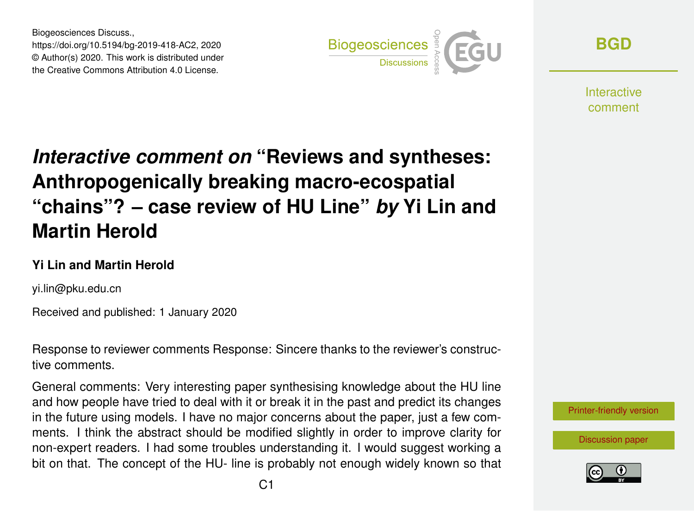Biogeosciences Discuss., https://doi.org/10.5194/bg-2019-418-AC2, 2020 © Author(s) 2020. This work is distributed under the Creative Commons Attribution 4.0 License.



**[BGD](https://www.biogeosciences-discuss.net/)**

Interactive comment

# *Interactive comment on* **"Reviews and syntheses: Anthropogenically breaking macro-ecospatial "chains"? – case review of HU Line"** *by* **Yi Lin and Martin Herold**

#### **Yi Lin and Martin Herold**

yi.lin@pku.edu.cn

Received and published: 1 January 2020

Response to reviewer comments Response: Sincere thanks to the reviewer's constructive comments.

General comments: Very interesting paper synthesising knowledge about the HU line and how people have tried to deal with it or break it in the past and predict its changes in the future using models. I have no major concerns about the paper, just a few comments. I think the abstract should be modified slightly in order to improve clarity for non-expert readers. I had some troubles understanding it. I would suggest working a bit on that. The concept of the HU- line is probably not enough widely known so that



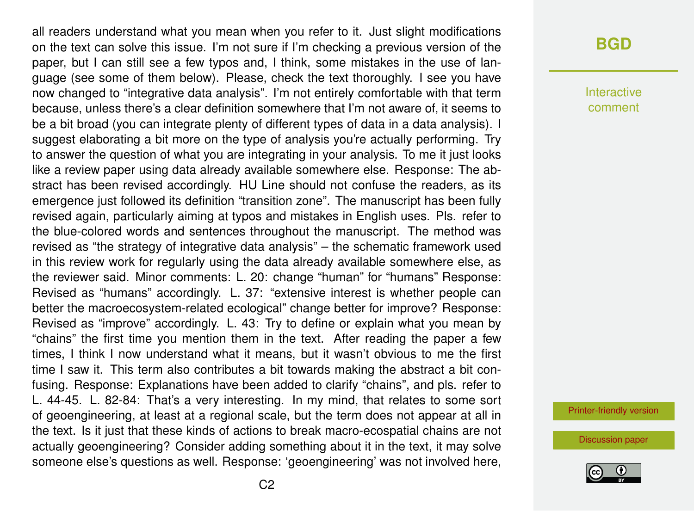all readers understand what you mean when you refer to it. Just slight modifications on the text can solve this issue. I'm not sure if I'm checking a previous version of the paper, but I can still see a few typos and, I think, some mistakes in the use of language (see some of them below). Please, check the text thoroughly. I see you have now changed to "integrative data analysis". I'm not entirely comfortable with that term because, unless there's a clear definition somewhere that I'm not aware of, it seems to be a bit broad (you can integrate plenty of different types of data in a data analysis). I suggest elaborating a bit more on the type of analysis you're actually performing. Try to answer the question of what you are integrating in your analysis. To me it just looks like a review paper using data already available somewhere else. Response: The abstract has been revised accordingly. HU Line should not confuse the readers, as its emergence just followed its definition "transition zone". The manuscript has been fully revised again, particularly aiming at typos and mistakes in English uses. Pls. refer to the blue-colored words and sentences throughout the manuscript. The method was revised as "the strategy of integrative data analysis" – the schematic framework used in this review work for regularly using the data already available somewhere else, as the reviewer said. Minor comments: L. 20: change "human" for "humans" Response: Revised as "humans" accordingly. L. 37: "extensive interest is whether people can better the macroecosystem-related ecological" change better for improve? Response: Revised as "improve" accordingly. L. 43: Try to define or explain what you mean by "chains" the first time you mention them in the text. After reading the paper a few times, I think I now understand what it means, but it wasn't obvious to me the first time I saw it. This term also contributes a bit towards making the abstract a bit confusing. Response: Explanations have been added to clarify "chains", and pls. refer to L. 44-45. L. 82-84: That's a very interesting. In my mind, that relates to some sort of geoengineering, at least at a regional scale, but the term does not appear at all in the text. Is it just that these kinds of actions to break macro-ecospatial chains are not actually geoengineering? Consider adding something about it in the text, it may solve someone else's questions as well. Response: 'geoengineering' was not involved here,

### **[BGD](https://www.biogeosciences-discuss.net/)**

Interactive comment

[Printer-friendly version](https://www.biogeosciences-discuss.net/bg-2019-418/bg-2019-418-AC2-print.pdf)

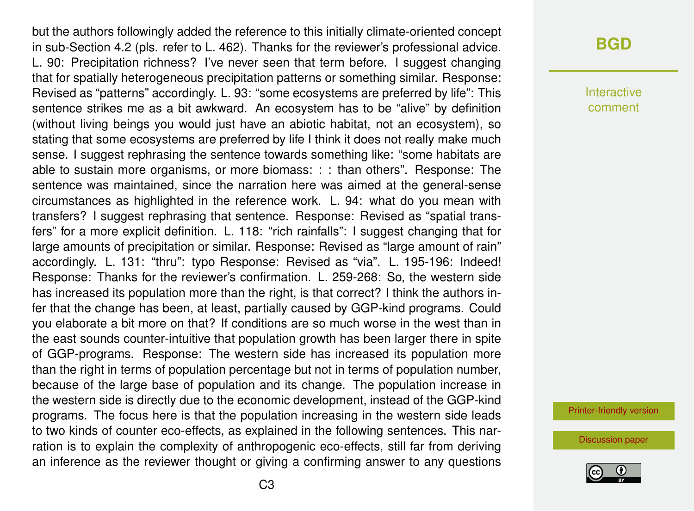but the authors followingly added the reference to this initially climate-oriented concept in sub-Section 4.2 (pls. refer to L. 462). Thanks for the reviewer's professional advice. L. 90: Precipitation richness? I've never seen that term before. I suggest changing that for spatially heterogeneous precipitation patterns or something similar. Response: Revised as "patterns" accordingly. L. 93: "some ecosystems are preferred by life": This sentence strikes me as a bit awkward. An ecosystem has to be "alive" by definition (without living beings you would just have an abiotic habitat, not an ecosystem), so stating that some ecosystems are preferred by life I think it does not really make much sense. I suggest rephrasing the sentence towards something like: "some habitats are able to sustain more organisms, or more biomass: : : than others". Response: The sentence was maintained, since the narration here was aimed at the general-sense circumstances as highlighted in the reference work. L. 94: what do you mean with transfers? I suggest rephrasing that sentence. Response: Revised as "spatial transfers" for a more explicit definition. L. 118: "rich rainfalls": I suggest changing that for large amounts of precipitation or similar. Response: Revised as "large amount of rain" accordingly. L. 131: "thru": typo Response: Revised as "via". L. 195-196: Indeed! Response: Thanks for the reviewer's confirmation. L. 259-268: So, the western side has increased its population more than the right, is that correct? I think the authors infer that the change has been, at least, partially caused by GGP-kind programs. Could you elaborate a bit more on that? If conditions are so much worse in the west than in the east sounds counter-intuitive that population growth has been larger there in spite of GGP-programs. Response: The western side has increased its population more than the right in terms of population percentage but not in terms of population number, because of the large base of population and its change. The population increase in the western side is directly due to the economic development, instead of the GGP-kind programs. The focus here is that the population increasing in the western side leads to two kinds of counter eco-effects, as explained in the following sentences. This narration is to explain the complexity of anthropogenic eco-effects, still far from deriving an inference as the reviewer thought or giving a confirming answer to any questions

### **[BGD](https://www.biogeosciences-discuss.net/)**

Interactive comment

[Printer-friendly version](https://www.biogeosciences-discuss.net/bg-2019-418/bg-2019-418-AC2-print.pdf)